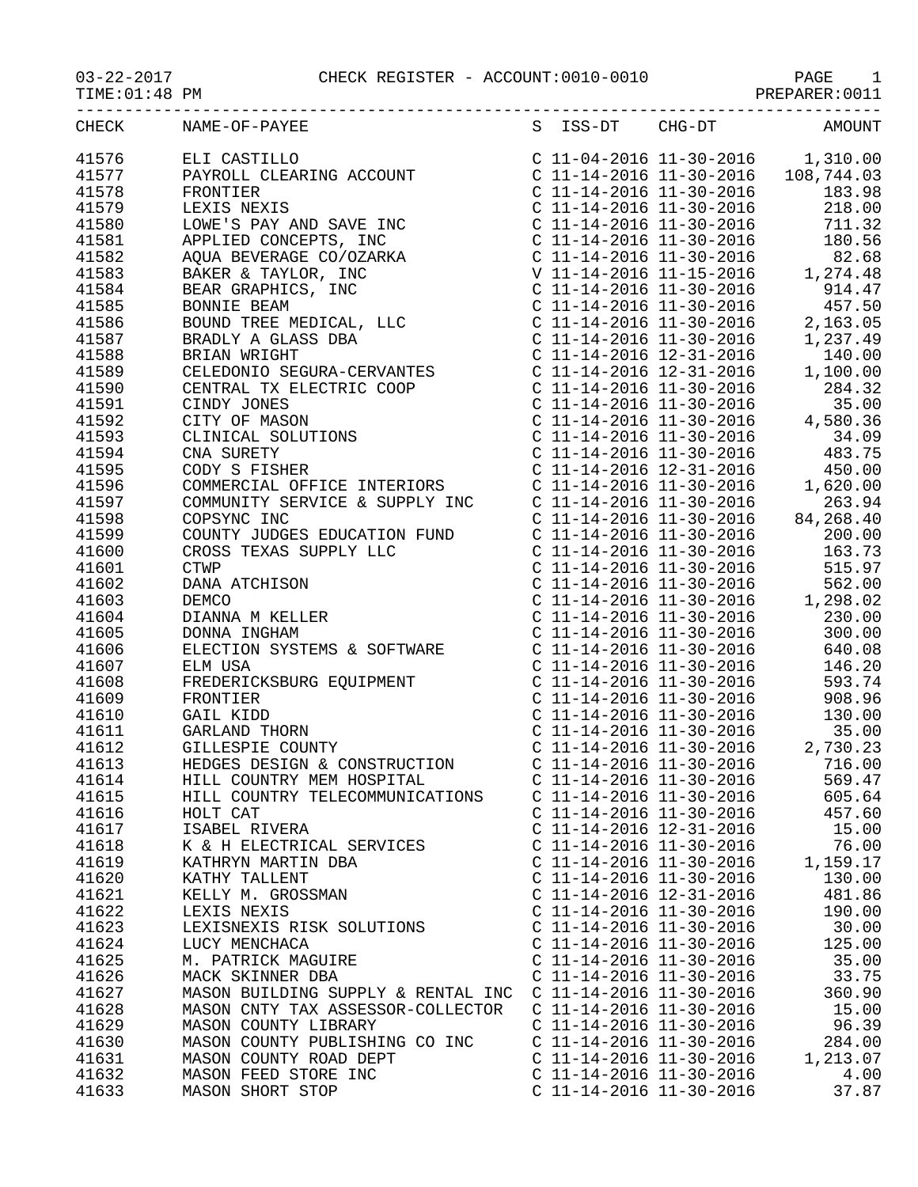$TIME:01:48 PM$ 

## 03-22-2017 CHECK REGISTER - ACCOUNT:0010-0010 PAGE 1

|       | CHECK NAME-OF-PAYEE                                                                                                                                                                                                                                                                                                                                                                                                                                                                      |                           |                           | S ISS-DT CHG-DT AMOUNT |
|-------|------------------------------------------------------------------------------------------------------------------------------------------------------------------------------------------------------------------------------------------------------------------------------------------------------------------------------------------------------------------------------------------------------------------------------------------------------------------------------------------|---------------------------|---------------------------|------------------------|
|       | $\begin{tabular}{l c c c c} \multicolumn{1}{c}{\textbf{RAME}-OF-PANEE}} & \multicolumn{1}{c}{\textbf{S}} & \multicolumn{1}{c}{\textbf{S}} & \multicolumn{1}{c}{\textbf{S}} & \multicolumn{1}{c}{\textbf{S}} & \multicolumn{1}{c}{\textbf{S}} & \multicolumn{1}{c}{\textbf{S}} & \multicolumn{1}{c}{\textbf{S}} & \multicolumn{1}{c}{\textbf{S}} & \multicolumn{1}{c}{\textbf{S}} & \multicolumn{1}{c}{\textbf{S}} & \multicolumn{1}{c}{\textbf{S}} & \multicolumn$<br>41576 ELI CASTILLO |                           |                           |                        |
| 41577 |                                                                                                                                                                                                                                                                                                                                                                                                                                                                                          |                           |                           |                        |
| 41578 |                                                                                                                                                                                                                                                                                                                                                                                                                                                                                          |                           |                           |                        |
| 41579 |                                                                                                                                                                                                                                                                                                                                                                                                                                                                                          |                           |                           |                        |
| 41580 |                                                                                                                                                                                                                                                                                                                                                                                                                                                                                          |                           |                           |                        |
| 41581 |                                                                                                                                                                                                                                                                                                                                                                                                                                                                                          |                           |                           |                        |
| 41582 |                                                                                                                                                                                                                                                                                                                                                                                                                                                                                          |                           |                           |                        |
|       |                                                                                                                                                                                                                                                                                                                                                                                                                                                                                          |                           |                           |                        |
| 41583 |                                                                                                                                                                                                                                                                                                                                                                                                                                                                                          |                           |                           |                        |
| 41584 |                                                                                                                                                                                                                                                                                                                                                                                                                                                                                          |                           |                           |                        |
| 41585 |                                                                                                                                                                                                                                                                                                                                                                                                                                                                                          |                           |                           |                        |
| 41586 |                                                                                                                                                                                                                                                                                                                                                                                                                                                                                          |                           |                           |                        |
| 41587 |                                                                                                                                                                                                                                                                                                                                                                                                                                                                                          |                           |                           |                        |
| 41588 |                                                                                                                                                                                                                                                                                                                                                                                                                                                                                          |                           |                           |                        |
| 41589 |                                                                                                                                                                                                                                                                                                                                                                                                                                                                                          |                           |                           |                        |
| 41590 |                                                                                                                                                                                                                                                                                                                                                                                                                                                                                          |                           |                           |                        |
| 41591 |                                                                                                                                                                                                                                                                                                                                                                                                                                                                                          |                           |                           |                        |
| 41592 |                                                                                                                                                                                                                                                                                                                                                                                                                                                                                          |                           |                           |                        |
| 41593 |                                                                                                                                                                                                                                                                                                                                                                                                                                                                                          |                           |                           |                        |
| 41594 |                                                                                                                                                                                                                                                                                                                                                                                                                                                                                          |                           |                           |                        |
| 41595 |                                                                                                                                                                                                                                                                                                                                                                                                                                                                                          |                           |                           |                        |
| 41596 |                                                                                                                                                                                                                                                                                                                                                                                                                                                                                          |                           |                           |                        |
| 41597 |                                                                                                                                                                                                                                                                                                                                                                                                                                                                                          |                           |                           |                        |
| 41598 |                                                                                                                                                                                                                                                                                                                                                                                                                                                                                          |                           |                           |                        |
| 41599 |                                                                                                                                                                                                                                                                                                                                                                                                                                                                                          |                           |                           |                        |
| 41600 |                                                                                                                                                                                                                                                                                                                                                                                                                                                                                          |                           |                           |                        |
| 41601 |                                                                                                                                                                                                                                                                                                                                                                                                                                                                                          |                           |                           |                        |
| 41602 |                                                                                                                                                                                                                                                                                                                                                                                                                                                                                          |                           |                           |                        |
| 41603 |                                                                                                                                                                                                                                                                                                                                                                                                                                                                                          |                           |                           |                        |
| 41604 |                                                                                                                                                                                                                                                                                                                                                                                                                                                                                          |                           |                           |                        |
| 41605 | COMMERCIAL OFFICE INTERIORS<br>COMMUNITY SERVICE & SUPPLY INC<br>COPSYNC INC C11-14-2016 11-30-2016 16<br>COPSYNC INC C11-14-2016 11-30-2016 84, 268.40<br>COUNTY JUDGES EDUCATION FUND C11-14-2016 11-30-2016 84, 268.40<br>CROSS TEXA                                                                                                                                                                                                                                                  |                           |                           |                        |
| 41606 |                                                                                                                                                                                                                                                                                                                                                                                                                                                                                          |                           |                           |                        |
| 41607 |                                                                                                                                                                                                                                                                                                                                                                                                                                                                                          |                           |                           |                        |
| 41608 | ELM USA<br>FREDERICKSBURG EQUIPMENT<br>FRONTIER<br>C 11-14-2016 11-30-2016<br>C 11-14-2016 11-30-2016<br>C 11-14-2016 11-30-2016<br>C 11-14-2016 11-30-2016<br>C 11-14-2016 11-30-2016<br>C 11-14-2016 11-30-2016<br>C 11-14-2016 11-30-2016<br>C                                                                                                                                                                                                                                        |                           |                           |                        |
| 41609 |                                                                                                                                                                                                                                                                                                                                                                                                                                                                                          |                           |                           |                        |
|       |                                                                                                                                                                                                                                                                                                                                                                                                                                                                                          |                           |                           |                        |
| 41610 |                                                                                                                                                                                                                                                                                                                                                                                                                                                                                          |                           |                           |                        |
| 41611 |                                                                                                                                                                                                                                                                                                                                                                                                                                                                                          |                           |                           |                        |
| 41612 |                                                                                                                                                                                                                                                                                                                                                                                                                                                                                          |                           |                           |                        |
| 41613 |                                                                                                                                                                                                                                                                                                                                                                                                                                                                                          |                           |                           |                        |
| 41614 | HILL COUNTRY MEM HOSPITAL                                                                                                                                                                                                                                                                                                                                                                                                                                                                |                           | $C$ 11-14-2016 11-30-2016 | 569.47                 |
| 41615 | HILL COUNTRY TELECOMMUNICATIONS                                                                                                                                                                                                                                                                                                                                                                                                                                                          | $C$ 11-14-2016 11-30-2016 |                           | 605.64                 |
| 41616 | HOLT CAT                                                                                                                                                                                                                                                                                                                                                                                                                                                                                 | $C$ 11-14-2016 11-30-2016 |                           | 457.60                 |
| 41617 | ISABEL RIVERA                                                                                                                                                                                                                                                                                                                                                                                                                                                                            | $C$ 11-14-2016 12-31-2016 |                           | 15.00                  |
| 41618 | K & H ELECTRICAL SERVICES                                                                                                                                                                                                                                                                                                                                                                                                                                                                | $C$ 11-14-2016 11-30-2016 |                           | 76.00                  |
| 41619 | KATHRYN MARTIN DBA                                                                                                                                                                                                                                                                                                                                                                                                                                                                       | $C$ 11-14-2016 11-30-2016 |                           | 1,159.17               |
| 41620 | KATHY TALLENT                                                                                                                                                                                                                                                                                                                                                                                                                                                                            | $C$ 11-14-2016 11-30-2016 |                           | 130.00                 |
| 41621 | KELLY M. GROSSMAN                                                                                                                                                                                                                                                                                                                                                                                                                                                                        | C 11-14-2016 12-31-2016   |                           | 481.86                 |
| 41622 | LEXIS NEXIS                                                                                                                                                                                                                                                                                                                                                                                                                                                                              | $C$ 11-14-2016 11-30-2016 |                           | 190.00                 |
| 41623 | LEXISNEXIS RISK SOLUTIONS                                                                                                                                                                                                                                                                                                                                                                                                                                                                | $C$ 11-14-2016 11-30-2016 |                           | 30.00                  |
| 41624 | LUCY MENCHACA                                                                                                                                                                                                                                                                                                                                                                                                                                                                            | $C$ 11-14-2016 11-30-2016 |                           | 125.00                 |
| 41625 | M. PATRICK MAGUIRE                                                                                                                                                                                                                                                                                                                                                                                                                                                                       | $C$ 11-14-2016 11-30-2016 |                           | 35.00                  |
| 41626 | MACK SKINNER DBA                                                                                                                                                                                                                                                                                                                                                                                                                                                                         | $C$ 11-14-2016 11-30-2016 |                           | 33.75                  |
| 41627 | MASON BUILDING SUPPLY & RENTAL INC                                                                                                                                                                                                                                                                                                                                                                                                                                                       | C 11-14-2016 11-30-2016   |                           | 360.90                 |
| 41628 | MASON CNTY TAX ASSESSOR-COLLECTOR                                                                                                                                                                                                                                                                                                                                                                                                                                                        | $C$ 11-14-2016 11-30-2016 |                           | 15.00                  |
| 41629 | MASON COUNTY LIBRARY                                                                                                                                                                                                                                                                                                                                                                                                                                                                     | $C$ 11-14-2016 11-30-2016 |                           | 96.39                  |
| 41630 | MASON COUNTY PUBLISHING CO INC                                                                                                                                                                                                                                                                                                                                                                                                                                                           | $C$ 11-14-2016 11-30-2016 |                           | 284.00                 |
| 41631 | MASON COUNTY ROAD DEPT                                                                                                                                                                                                                                                                                                                                                                                                                                                                   | $C$ 11-14-2016 11-30-2016 |                           | 1,213.07               |
| 41632 | MASON FEED STORE INC                                                                                                                                                                                                                                                                                                                                                                                                                                                                     | $C$ 11-14-2016 11-30-2016 |                           | 4.00                   |
| 41633 | MASON SHORT STOP                                                                                                                                                                                                                                                                                                                                                                                                                                                                         | $C$ 11-14-2016 11-30-2016 |                           | 37.87                  |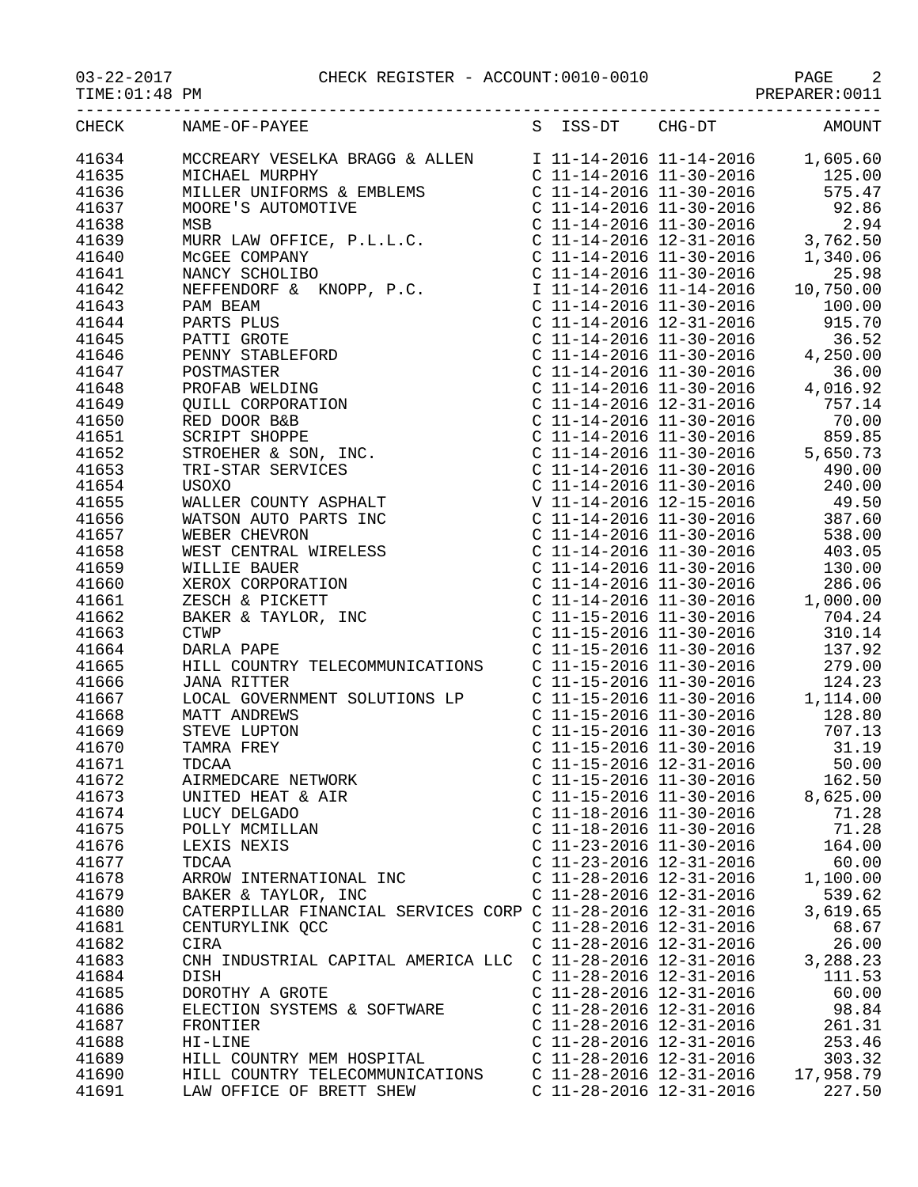03-22-2017 CHECK REGISTER - ACCOUNT:0010-0010 PAGE 2

|  | $C$ יחס דמים ממשוומ |
|--|---------------------|

| TIME:01:48 PM | PREPARER:0011                                                                                                                                                                                                                                                                                         |                                    |  |         |  |
|---------------|-------------------------------------------------------------------------------------------------------------------------------------------------------------------------------------------------------------------------------------------------------------------------------------------------------|------------------------------------|--|---------|--|
| CHECK         | NAME-OF-PAYEE                                                                                                                                                                                                                                                                                         | S ISS-DT CHG-DT                    |  | AMOUNT  |  |
| 41634         | MCCREARY VESELKA BRAGG & ALLEN I 11-14-2016 11-14-2016 1,605.60                                                                                                                                                                                                                                       |                                    |  |         |  |
| 41635         | MICHAEL MURPHY                                                                                                                                                                                                                                                                                        | C 11-14-2016 11-30-2016 125.00     |  |         |  |
| 41636         | MILLER UNIFORMS & EMBLEMS C 11-14-2016 11-30-2016 575.47                                                                                                                                                                                                                                              |                                    |  |         |  |
| 41637         | MOORE'S AUTOMOTIVE<br>C 11-14-2016 11-30-2016 92.86                                                                                                                                                                                                                                                   |                                    |  |         |  |
| 41638         | MSB<br>MURR LAW OFFICE, P.L.L.C.<br>C 11-14-2016 12-31-2016 3,762.50                                                                                                                                                                                                                                  |                                    |  |         |  |
| 41639         |                                                                                                                                                                                                                                                                                                       |                                    |  |         |  |
| 41640         | MCGEE COMPANY                                                                                                                                                                                                                                                                                         | C 11-14-2016 11-30-2016 1,340.06   |  |         |  |
| 41641         | NANCY SCHOLIBO                                                                                                                                                                                                                                                                                        | $C$ 11-14-2016 11-30-2016 25.98    |  |         |  |
| 41642         |                                                                                                                                                                                                                                                                                                       |                                    |  |         |  |
| 41643         | NEFFENDORF & KNOPP, P.C.<br>PAM BEAM C 11-14-2016 11-30-2016 10,750.00 C 11-14-2016 11-30-2016 100.00<br>$\begin{array}{cccccccccc} C& 11-14-2016& 11-30-2016&& 915.70\\ C& 11-14-2016& 12-31-2016&& 915.70\\ C& 11-14-2016& 11-30-2016&& 36.52\\ C& 11-14-2016& 11-30-2016&& 4,250.00\\ \end{array}$ |                                    |  |         |  |
| 41644         | PARTS PLUS                                                                                                                                                                                                                                                                                            |                                    |  |         |  |
| 41645         | PATTI GROTE                                                                                                                                                                                                                                                                                           |                                    |  |         |  |
| 41646         | PAILL SHOLE<br>PENNY STABLEFORD<br>POSTMASTER                                                                                                                                                                                                                                                         |                                    |  |         |  |
| 41647         |                                                                                                                                                                                                                                                                                                       | $C$ 11-14-2016 11-30-2016 36.00    |  |         |  |
| 41648         |                                                                                                                                                                                                                                                                                                       | $C$ 11-14-2016 11-30-2016 4,016.92 |  |         |  |
| 41649         |                                                                                                                                                                                                                                                                                                       | C $11-14-2016$ $12-31-2016$ 757.14 |  |         |  |
| 41650         | PROFAB WELDING<br>QUILL CORPORATION                                                                                                                                                                                                                                                                   | $C$ 11-14-2016 11-30-2016 70.00    |  |         |  |
| 41651         | SCRIPT SHOPPE                                                                                                                                                                                                                                                                                         | C $11-14-2016$ $11-30-2016$ 859.85 |  |         |  |
| 41652         | STROEHER & SON, INC.<br>C 11-14-2016 11-30-2016 5,650.73                                                                                                                                                                                                                                              |                                    |  |         |  |
| 41653         | TRI-STAR SERVICES                                                                                                                                                                                                                                                                                     | $C$ 11-14-2016 11-30-2016 490.00   |  |         |  |
| 41654         | USOXO                                                                                                                                                                                                                                                                                                 | $C$ 11-14-2016 11-30-2016 240.00   |  |         |  |
| 41655         | WALLER COUNTY ASPHALT                                                                                                                                                                                                                                                                                 | $V$ 11-14-2016 12-15-2016 49.50    |  |         |  |
| 41656         | WATSON AUTO PARTS INC C 11-14-2016 11-30-2016 387.60                                                                                                                                                                                                                                                  |                                    |  |         |  |
|               | 41657 WEBER CHEVRON                                                                                                                                                                                                                                                                                   | $C$ 11-14-2016 11-30-2016          |  | 538.00  |  |
| 41658         | WEST CENTRAL WIRELESS $\begin{array}{ccc} C & 11-14-2016 & 11-30-2016 & 403.05 \\ \text{WITITE RNIEP} & C & 11-14-2016 & 11-30-2016 & 130.00 \\ \end{array}$                                                                                                                                          |                                    |  |         |  |
| 11650         |                                                                                                                                                                                                                                                                                                       |                                    |  | 120. QO |  |

| 41641 |                                                                                                                                                                                                                                                                                                                                                                                                                                                                                        |                             |                             | 25.98            |
|-------|----------------------------------------------------------------------------------------------------------------------------------------------------------------------------------------------------------------------------------------------------------------------------------------------------------------------------------------------------------------------------------------------------------------------------------------------------------------------------------------|-----------------------------|-----------------------------|------------------|
| 41642 |                                                                                                                                                                                                                                                                                                                                                                                                                                                                                        |                             |                             | 10,750.00        |
| 41643 | NANCY SCHOLIBO<br>NEFFENDORF & KNOPP, P.C.<br>PAM BEAM<br>PARTS PLUS<br>PARTS PLUS<br>PARTS PLUS<br>PARTS PLUS                                                                                                                                                                                                                                                                                                                                                                         |                             |                             |                  |
| 41644 |                                                                                                                                                                                                                                                                                                                                                                                                                                                                                        |                             |                             |                  |
| 41645 |                                                                                                                                                                                                                                                                                                                                                                                                                                                                                        |                             |                             |                  |
| 41646 |                                                                                                                                                                                                                                                                                                                                                                                                                                                                                        |                             |                             |                  |
| 41647 |                                                                                                                                                                                                                                                                                                                                                                                                                                                                                        |                             |                             |                  |
| 41648 |                                                                                                                                                                                                                                                                                                                                                                                                                                                                                        |                             |                             |                  |
| 41649 |                                                                                                                                                                                                                                                                                                                                                                                                                                                                                        |                             |                             |                  |
| 41650 |                                                                                                                                                                                                                                                                                                                                                                                                                                                                                        |                             |                             |                  |
| 41651 |                                                                                                                                                                                                                                                                                                                                                                                                                                                                                        |                             |                             |                  |
| 41652 |                                                                                                                                                                                                                                                                                                                                                                                                                                                                                        |                             |                             |                  |
| 41653 |                                                                                                                                                                                                                                                                                                                                                                                                                                                                                        |                             |                             |                  |
| 41654 |                                                                                                                                                                                                                                                                                                                                                                                                                                                                                        |                             |                             |                  |
| 41655 | NET HORE PRIME CONTROLL ON CONTROLL AND RESERVANCE CONTRACT CONTROLL CONTROLL OR NOT CONTROLL OR NATIONAL CONTROLL OR NET SURPRESS TRACTER AS SON TRIPS THAT SERVICES CONTRACT CONTROLL AND CONTRIGUES CONTRIGUES CONTRIGUES C<br>TRI-STAR SERVICES<br>USOXO<br>USOXO<br>WALLER COUNTY ASPHALT<br>WATSON AUTO PARTS INC<br>WEBER CHEVRON<br>WEBER CHEVRON<br>WEST CENTRAL WIRFLESS<br>C 11-14-2016 11-30-2016<br>C 11-14-2016 11-30-2016<br>C 11-14-2016 11-30-2016<br>C 11-14-2016 11 |                             |                             |                  |
| 41656 |                                                                                                                                                                                                                                                                                                                                                                                                                                                                                        |                             |                             |                  |
| 41657 |                                                                                                                                                                                                                                                                                                                                                                                                                                                                                        |                             |                             |                  |
| 41658 |                                                                                                                                                                                                                                                                                                                                                                                                                                                                                        |                             |                             |                  |
| 41659 |                                                                                                                                                                                                                                                                                                                                                                                                                                                                                        |                             |                             |                  |
| 41660 |                                                                                                                                                                                                                                                                                                                                                                                                                                                                                        |                             |                             |                  |
| 41661 |                                                                                                                                                                                                                                                                                                                                                                                                                                                                                        |                             |                             |                  |
| 41662 | WEBER CHEVRON<br>WEST CENTRAL WIRELESS<br>WEST CENTRAL WIRELESS<br>WELLIE BAUER<br>C 11-14-2016 11-30-2016<br>C 11-14-2016 11-30-2016<br>C 11-14-2016 11-30-2016<br>C 11-14-2016 11-30-2016<br>C 11-14-2016 11-30-2016<br>C 11-15-2016 11-30-201                                                                                                                                                                                                                                       |                             |                             |                  |
| 41663 |                                                                                                                                                                                                                                                                                                                                                                                                                                                                                        |                             |                             |                  |
| 41664 | DARLA PAPE<br>HILL COUNTRY TELECOMMUNICATIONS<br>C 11-15-2016 11-30-2016 279.00<br>C 11-15-2016 11-30-2016 124.23                                                                                                                                                                                                                                                                                                                                                                      |                             |                             | 137.92<br>279.00 |
| 41665 |                                                                                                                                                                                                                                                                                                                                                                                                                                                                                        |                             |                             |                  |
| 41666 |                                                                                                                                                                                                                                                                                                                                                                                                                                                                                        |                             |                             |                  |
| 41667 |                                                                                                                                                                                                                                                                                                                                                                                                                                                                                        |                             |                             |                  |
| 41668 |                                                                                                                                                                                                                                                                                                                                                                                                                                                                                        |                             |                             |                  |
| 41669 |                                                                                                                                                                                                                                                                                                                                                                                                                                                                                        |                             |                             |                  |
| 41670 |                                                                                                                                                                                                                                                                                                                                                                                                                                                                                        |                             |                             |                  |
| 41671 |                                                                                                                                                                                                                                                                                                                                                                                                                                                                                        |                             |                             |                  |
| 41672 |                                                                                                                                                                                                                                                                                                                                                                                                                                                                                        |                             |                             |                  |
| 41673 |                                                                                                                                                                                                                                                                                                                                                                                                                                                                                        |                             |                             |                  |
| 41674 |                                                                                                                                                                                                                                                                                                                                                                                                                                                                                        |                             |                             |                  |
| 41675 |                                                                                                                                                                                                                                                                                                                                                                                                                                                                                        |                             |                             |                  |
| 41676 |                                                                                                                                                                                                                                                                                                                                                                                                                                                                                        |                             |                             |                  |
| 41677 |                                                                                                                                                                                                                                                                                                                                                                                                                                                                                        |                             |                             |                  |
| 41678 | MATT ANDREWS C 11-15-2016 11-30-2016 128.80<br>STEVE LUPTON C 11-15-2016 11-30-2016 707.13<br>TAMRA FREY C 11-15-2016 11-30-2016 707.13<br>TOCAA C 11-15-2016 12-31-2016 50.00<br>AIRMEDCARE NETWORK C 11-15-2016 12-31-2016 50.00<br>AI                                                                                                                                                                                                                                               |                             |                             |                  |
| 41679 | BAKER & TAYLOR, INC                                                                                                                                                                                                                                                                                                                                                                                                                                                                    |                             | C $11-28-2016$ $12-31-2016$ | 539.62           |
| 41680 | CATERPILLAR FINANCIAL SERVICES CORP C 11-28-2016 12-31-2016                                                                                                                                                                                                                                                                                                                                                                                                                            |                             |                             | 3,619.65         |
| 41681 | CENTURYLINK QCC                                                                                                                                                                                                                                                                                                                                                                                                                                                                        | $C$ 11-28-2016 12-31-2016   |                             | 68.67            |
| 41682 | CIRA                                                                                                                                                                                                                                                                                                                                                                                                                                                                                   |                             | $C$ 11-28-2016 12-31-2016   | 26.00            |
| 41683 | CNH INDUSTRIAL CAPITAL AMERICA LLC                                                                                                                                                                                                                                                                                                                                                                                                                                                     | $C$ 11-28-2016 12-31-2016   |                             | 3,288.23         |
| 41684 | <b>DISH</b>                                                                                                                                                                                                                                                                                                                                                                                                                                                                            | $C$ 11-28-2016 12-31-2016   |                             | 111.53           |
| 41685 | DOROTHY A GROTE                                                                                                                                                                                                                                                                                                                                                                                                                                                                        | C 11-28-2016 12-31-2016     |                             | 60.00            |
| 41686 | ELECTION SYSTEMS & SOFTWARE                                                                                                                                                                                                                                                                                                                                                                                                                                                            | $C$ 11-28-2016 12-31-2016   |                             | 98.84            |
| 41687 | FRONTIER                                                                                                                                                                                                                                                                                                                                                                                                                                                                               | C 11-28-2016 12-31-2016     |                             | 261.31           |
| 41688 | $HI-LINE$                                                                                                                                                                                                                                                                                                                                                                                                                                                                              | $C$ 11-28-2016 12-31-2016   |                             | 253.46           |
| 41689 | HILL COUNTRY MEM HOSPITAL                                                                                                                                                                                                                                                                                                                                                                                                                                                              | $C$ 11-28-2016 12-31-2016   |                             | 303.32           |
| 41690 | HILL COUNTRY TELECOMMUNICATIONS                                                                                                                                                                                                                                                                                                                                                                                                                                                        | C $11-28-2016$ $12-31-2016$ |                             | 17,958.79        |
| 41691 | LAW OFFICE OF BRETT SHEW                                                                                                                                                                                                                                                                                                                                                                                                                                                               | $C$ 11-28-2016 12-31-2016   |                             | 227.50           |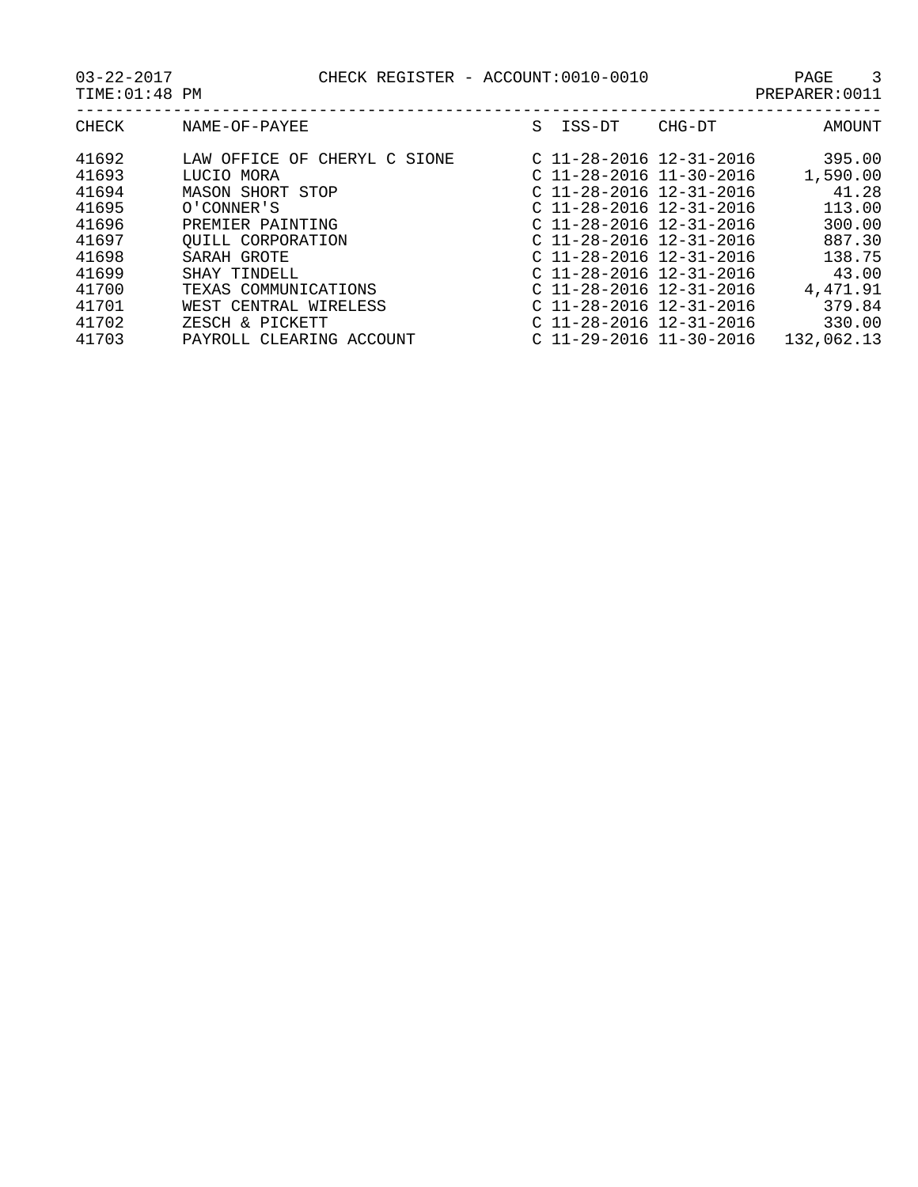| CHECK                                                                                                    | NAME-OF-PAYEE                                                                                                                                                                                                                   | S | ISS-DT                                                                                                                                                                                                                                                                                                                                                                       | CHG-DT | AMOUNT                                                                                                                     |
|----------------------------------------------------------------------------------------------------------|---------------------------------------------------------------------------------------------------------------------------------------------------------------------------------------------------------------------------------|---|------------------------------------------------------------------------------------------------------------------------------------------------------------------------------------------------------------------------------------------------------------------------------------------------------------------------------------------------------------------------------|--------|----------------------------------------------------------------------------------------------------------------------------|
| 41692<br>41693<br>41694<br>41695<br>41696<br>41697<br>41698<br>41699<br>41700<br>41701<br>41702<br>41703 | LAW OFFICE OF CHERYL C SIONE<br>LUCIO MORA<br><b>MASON SHORT STOP</b><br>O'CONNER'S<br>PREMIER PAINTING<br>OUILL CORPORATION<br>SARAH GROTE<br>SHAY TINDELL<br>TEXAS COMMUNICATIONS<br>WEST CENTRAL WIRELESS<br>ZESCH & PICKETT |   | C $11 - 28 - 2016$ $12 - 31 - 2016$<br>$C$ 11-28-2016 11-30-2016<br>$C$ 11-28-2016 12-31-2016<br>$C$ 11-28-2016 12-31-2016<br>$C$ 11-28-2016 12-31-2016<br>$C$ 11-28-2016 12-31-2016<br>$C$ 11-28-2016 12-31-2016<br>$C$ 11-28-2016 12-31-2016<br>C $11 - 28 - 2016$ $12 - 31 - 2016$<br>$C$ 11-28-2016 12-31-2016<br>$C$ 11-28-2016 12-31-2016<br>$C$ 11-29-2016 11-30-2016 |        | 395.00<br>1,590.00<br>41.28<br>113.00<br>300.00<br>887.30<br>138.75<br>43.00<br>4,471.91<br>379.84<br>330.00<br>132,062.13 |
|                                                                                                          | PAYROLL CLEARING ACCOUNT                                                                                                                                                                                                        |   |                                                                                                                                                                                                                                                                                                                                                                              |        |                                                                                                                            |
|                                                                                                          |                                                                                                                                                                                                                                 |   |                                                                                                                                                                                                                                                                                                                                                                              |        |                                                                                                                            |